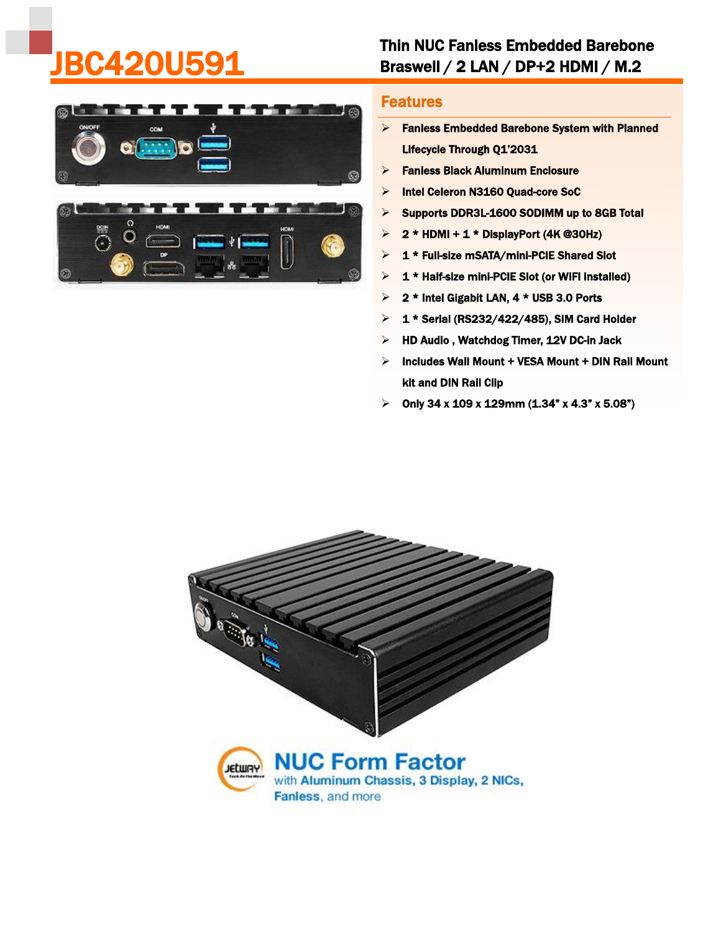## Thin NUC Fanless Embedded Barebone **BC420U591** Braswell / 2 LAN / DP+2 HDMI / M.2



## Features

- Fanless Embedded Barebone System with Planned Lifecycle Through Q1'2031
- $\triangleright$  Fanless Black Aluminum Enclosure
- > Intel Celeron N3160 Quad-core SoC
- $\triangleright$  Supports DDR3L-1600 SODIMM up to 8GB Total
- $\geq 2$  \* HDMI + 1 \* DisplayPort (4K @30Hz)
- $\geq 1$  \* Full-size mSATA/mini-PCIE Shared Slot
- $\geq 1$  \* Half-size mini-PCIE Slot (or WIFI installed)
- $\geq 2$  \* Intel Gigabit LAN, 4 \* USB 3.0 Ports
- $\geq 1$  \* Serial (RS232/422/485), SIM Card Holder
- $\triangleright$  HD Audio, Watchdog Timer, 12V DC-in Jack
- $\triangleright$  Includes Wall Mount + VESA Mount + DIN Rail Mount kit and DIN Rail Clip
- $\geq$  Only 34 x 109 x 129mm (1.34" x 4.3" x 5.08")